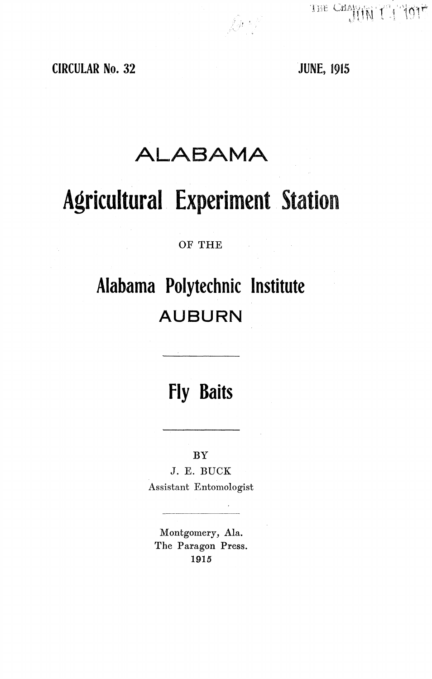THE CHANK THAM OIL

# CIRCULAR **No.** 32 JUNE, **<sup>1915</sup>**

# **ALABAMA**

 $\hat{\mathcal{L}}^{(k)}$ 

# Agricultural Experiment **Station**

## OF **THE**

# **Alabama Polytechnic Institute AUBURN**

# **Fly Baits**

BY

J. E. BUCK Assistant Entomologist

Montgomery, Ala. The Paragon Press. 1915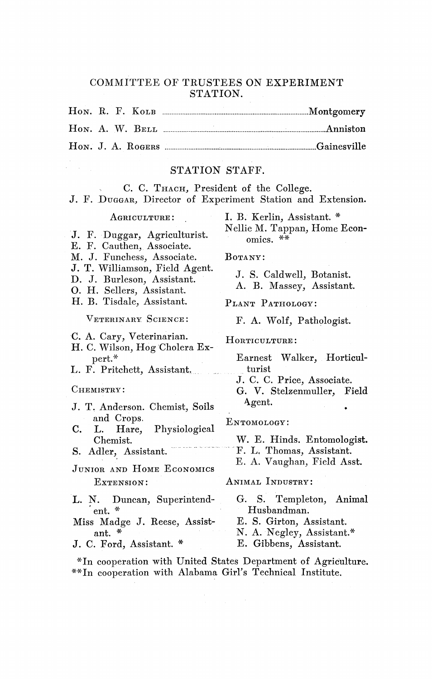#### COMMITTEE OF TRUSTEES ON EXPERIMENT STATION.

#### STATION STAFF.

**C. C. THACH, President of the College.**

| J. F. DUGGAR, Director of Experiment Station and Extension. |  |  |  |  |  |
|-------------------------------------------------------------|--|--|--|--|--|
|                                                             |  |  |  |  |  |

#### **AGRICULTURE:**

- J. F. Duggar, Agriculturist.
- E. F. Cauthen, Associate.
- M. J. Funchess, Associate.
- J. T. Williamson, Field Agent.
- D. J. Burleson, Assistant.
- 0. H. Sellers, Assistant.
- H. B. Tisdale, Assistant.

VETERINARY **SCIENCE:**

- C. A. Cary, Veterinarian.
- H. C. Wilson, Hog'Cholera Expert.\*
- L. F. Pritchett, Assistant.

#### **CHEMISTRY:**

- J. T. Anderson. Chemist, Soils and Crops.
- C. L. Hare, Physiological Chemist.
- S. Adler, Assistant.
- **JUNIOR AND HOME ECONOMICS EXTENSION:**
- L. N. Duncan, Superintendent.\*
- Miss Madge J. Reese, Assistant.\*
- J. C. Ford, Assistant.\*

**I. B. Kerlin, Assistant.** Nellie M. Tappan, **Home Economics. \*\***

**BOTANY:**

J. S. Caldwell, **Botanist.** A. B. Massey, **Assistant.**

**PLANT PATHOLOGY:**

F. A. Wolf, **Pathologist.**

**HORTICULTURE:**

**Earnest** Walker, **Horticulturist**

J. C. C. Price, **Associate.**

**G. V. Stelzenmuller, Field** A gent.

**ENTOMOLOGY:**

**W. E. Hinds. Entomologist.** F. L. Thomas, **Assistant.**

E. A. Vaughan, Field Asst.

#### **ANIMAL INDUSTRY:**

- G. S. Templeton, **Animal Husbandman.**
- **E. S. Girton, Assistant.**
- N. A. Negley, **Assistant.\***
- **E. Gibbens, Assistant.**

\*In cooperation with United. States Department of Agriculture. \*\*In cooperation with Alabama Girl's Technical Institute.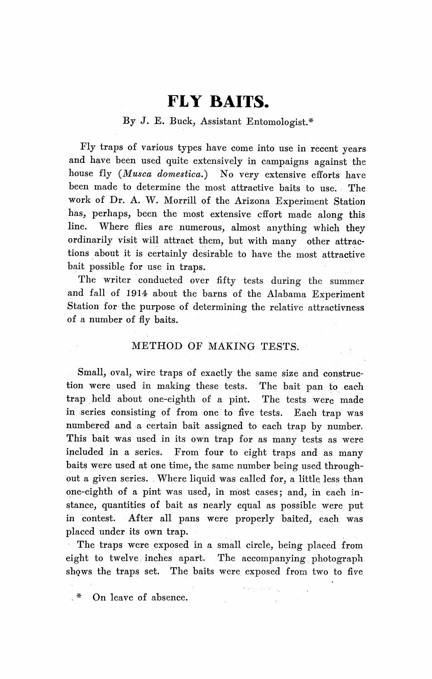# **FLY BAITS.**

## By J. E. Buck, Assistant Entomologist.\*

Fly traps of various types have come into use in recent years and have been used quite extensively in campaigns against the house fly *(Musca domestica.)* No very extensive efforts have been made to determine the most attractive baits to use. The work of Dr. A. W. Morrill of the Arizona Experiment Station has, perhaps, been the most extensive cffort made along this line. Where flies are numerous, almost anything which they ordinarily visit will attract them, but with many other attractions about it is certainly desirable to have the most attractive bait possible for use in traps.

The writer conducted over fifty tests during the summer and fall of 1914 about the barns of the Alabama Experiment Station for the purpose of determining the relative attractivness of a number of fly baits.

### METHOD OF MAKING TESTS.

Small, oval, wire traps of exactly the same size and construction were used in making these tests. The bait pan to each trap held about one-eighth of a pint. The tests were made in series consisting of from one to five tests. Each trap was numbered and a certain bait assigned to each trap by number. This bait was used in its own trap for as many tests as were included in a series. From four to eight traps and as many baits were used at one time, the same number being used throughout a given series. Where liquid was called for, a little less than one-eighth of a pint was used, in most cases; and, in each instance, quantities of bait as nearly equal as possible were put in contest. After all pans were properly baited, each was placed under its own trap.

The traps were exposed in a small circle, being placed from eight to twelve inches apart. The accompanying photograph shows the traps set. The baits were exposed from two to five

 $\{x_{\alpha, \beta}, \gamma_{\alpha, \beta}\}$ 

\* On leave of absence.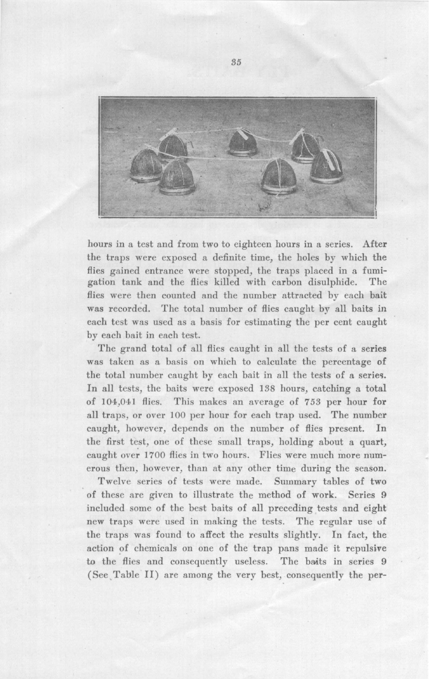

hours in a test and from two to eighteen hours in a series. After the traps were exposed a definite time, the holes by which the flies gained entrance were stopped, the traps placed in a fumi $gation$  tank and the flies killed with carbon disulphide. The flies were then counted and the number attracted by each bait was recorded. The total number of flies caught by all baits in **each test was used as a basis for estimating the per cent caught** by each bait in each test.

The grand total of all flies caught in all the tests of a series was taken as a basis on which to calculate the percentage of the total number caught by each bait in all the tests of a series. In all tests, the baits were exposed 138 hours, catching a total of 104,041 flies. This makes an average of 753 per hour for all traps, or over 100 per hour for each trap used. The number caught, however, depends on the number of flies present. In the first test, one of these small traps, holding about a quart, caught over 1700 flies in two hours. Flies were much more numerous then, however, than at any other time during the season.

Twelve series of tests were made. Summary tables of two of these are given to illustrate the method of work. Series 9 included some of the best baits of all preceding tests and eight new traps were used in making the tests. The regular use of the traps was found to affect the results slightly. In fact, the action of chemicals on one of the trap pans made it repulsive to the flies and consequently useless. The baits in series 9 (See Table II) are among the very best, consequently the per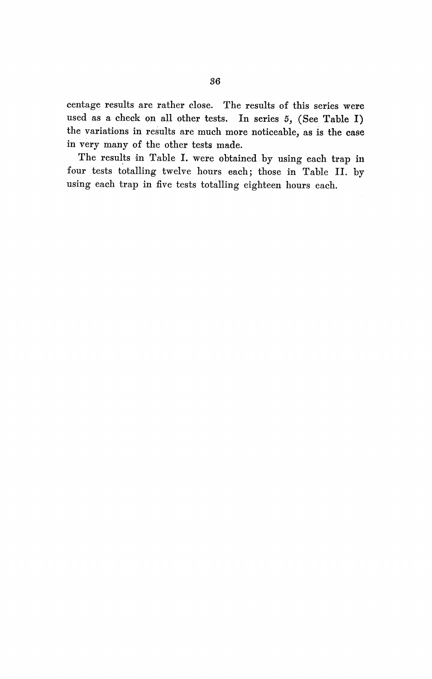centage results are rather close. The results of this series were used as a check on all other tests. In series 5, (See Table I) the variations in results are much more noticeable, as is the case in very many of the other tests made.

The results in Table I. were obtained by using each trap in four tests totalling twelve hours each; those in Table II. by using each trap in five tests totalling eighteen hours each.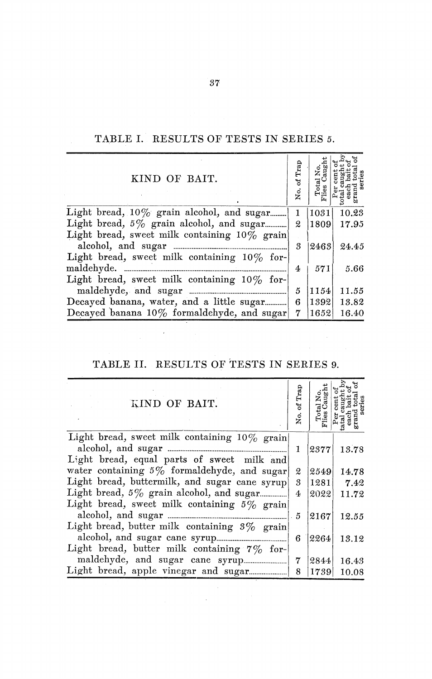TABLE I. RESULTS OF **TESTS IN SERIES** *5.*

| Light bread, $10\%$ grain alcohol, and sugar<br>1<br>Light bread, 5% grain alcohol, and sugar<br>$\mathfrak{D}$ | 1031 |       |
|-----------------------------------------------------------------------------------------------------------------|------|-------|
|                                                                                                                 |      | 10.23 |
|                                                                                                                 | 1809 | 17.95 |
| Light bread, sweet milk containing $10\%$ grain                                                                 |      |       |
| 3                                                                                                               | 2463 | 24.45 |
| Light bread, sweet milk containing $10\%$ for-                                                                  |      |       |
| maldehyde.<br>4                                                                                                 | 571  | 5.66  |
| Light bread, sweet milk containing $10\%$ for-                                                                  |      |       |
| maldehyde, and sugar<br>5                                                                                       | 1154 | 11.55 |
| Decayed banana, water, and a little sugar 6                                                                     | 1392 | 13.82 |
| Decayed banana 10% formaldehyde, and sugar<br>7                                                                 | 1652 | 16.40 |

## **TABLE II. RESULTS OF TESTS IN SERIES 9.**

| KIND OF BAIT.                                   | of Trap<br>ģ. | त्त् |       |
|-------------------------------------------------|---------------|------|-------|
| Light bread, sweet milk containing $10\%$ grain |               |      |       |
|                                                 | 1             | 2377 | 13.78 |
| Light bread, equal parts of sweet milk and      |               |      |       |
| water containing $5\%$ formaldehyde, and sugar  | 2             | 2549 | 14.78 |
| Light bread, buttermilk, and sugar cane syrup   | 3             | 1281 | 7.42  |
|                                                 | 4             | 2022 | 11.72 |
| Light bread, sweet milk containing $5\%$ grain  |               |      |       |
|                                                 | 5             | 2167 | 12.55 |
| Light bread, butter milk containing $3\%$ grain |               |      |       |
|                                                 | 6             | 2264 | 13.12 |
| Light bread, butter milk containing 7% for-     |               |      |       |
|                                                 | 7             | 2844 | 16.43 |
|                                                 | 8             | 1739 | 10.08 |

 $\label{eq:2.1} \frac{1}{\sqrt{2}}\int_{\mathbb{R}^3} \frac{1}{\sqrt{2}}\left(\frac{1}{\sqrt{2}}\right)^2\left(\frac{1}{\sqrt{2}}\right)^2\left(\frac{1}{\sqrt{2}}\right)^2\left(\frac{1}{\sqrt{2}}\right)^2\left(\frac{1}{\sqrt{2}}\right)^2\left(\frac{1}{\sqrt{2}}\right)^2.$ 

 $37^{\circ}$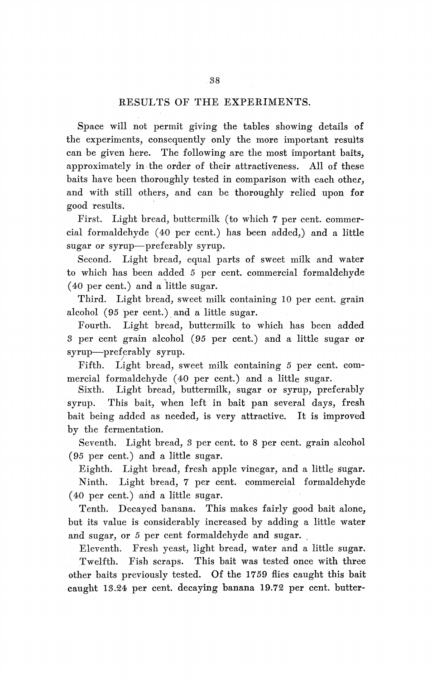## RESULTS OF THE EXPERIMENTS.

Space will not permit giving the tables showing details of the experiments, consequently only the more important results can be given here. The following are the most important baits, approximately in the order of their attractiveness. All of these baits have been thoroughly tested in comparison with each other, and with still others, and can be thoroughly relied upon for good results.

First. Light bread, buttermilk (to which 7 per cent. commercial formaldehyde (40 per cent.) has been added,) and a little sugar or syrup-preferably syrup.

Second. Light bread, equal parts of sweet milk and water to which has been added 5 per cent. commercial formaldehyde (40 per cent.) and a little sugar.

Third. Light bread, sweet milk containing 10 per cent. grain alcohol (95 per cent.) and a little sugar.

Fourth. Light bread, buttermilk to which has been added 3 per cent grain alcohol (95 per cent.) and a little sugar or syrup-preferably syrup.

Fifth. Light bread, sweet milk containing *5* per cent. commercial formaldehyde (40 per cent.) and a little sugar.

Sixth. Light bread, buttermilk, sugar or syrup, preferably syrup. This bait, when left in bait pan several days, fresh bait being added as needed, is very attractive. It is improved by the fermentation.

Seventh. Light bread, 8 per cent. to 8 per cent. grain alcohol (95 per cent.) and a little sugar.

Eighth. Light bread, fresh apple vinegar, and a little sugar. Ninth. Light bread, 7 per cent. commercial formaldehyde (40 per cent.) and a little sugar.

Tenth. Decayed banana. This makes fairly good bait alone, but its value is considerably increased by adding a little water and sugar, or 5 per cent formaldehyde and sugar.

Eleventh. Fresh yeast, light bread, water and a little sugar. Twelfth. Fish scraps. This bait was tested once with three other baits previously tested. Of the 1759 flies caught this bait caught 13.24 per cent. decaying banana 19.72 per cent. butter